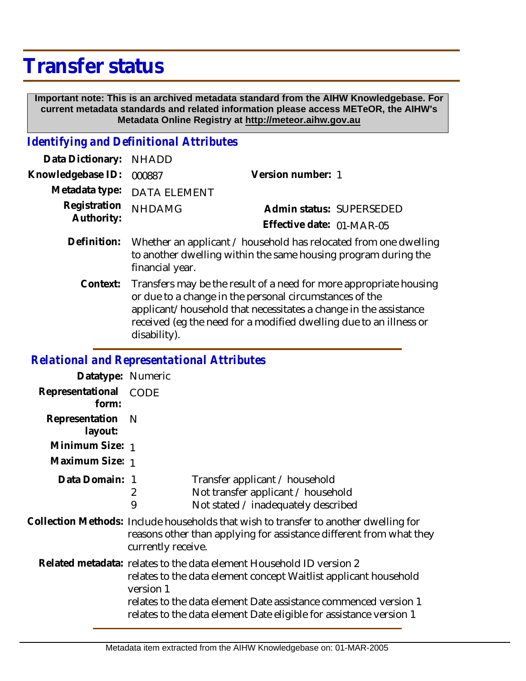## **Transfer status**

 **Important note: This is an archived metadata standard from the AIHW Knowledgebase. For current metadata standards and related information please access METeOR, the AIHW's Metadata Online Registry at http://meteor.aihw.gov.au**

## *Identifying and Definitional Attributes*

| Data Dictionary: NHADD            |                                                                              |                           |                          |
|-----------------------------------|------------------------------------------------------------------------------|---------------------------|--------------------------|
| Knowledgebase ID: 000887          |                                                                              | Version number: 1         |                          |
|                                   | Metadata type: DATA ELEMENT                                                  |                           |                          |
| Registration NHDAMG<br>Authority: |                                                                              |                           | Admin status: SUPERSEDED |
|                                   |                                                                              | Effective date: 01-MAR-05 |                          |
|                                   | Definition: Whether an applicant / household has relocated from one dwelling |                           |                          |

- to another dwelling within the same housing program during the financial year. Transfers may be the result of a need for more appropriate housing **Context:**
	- or due to a change in the personal circumstances of the applicant/household that necessitates a change in the assistance received (eg the need for a modified dwelling due to an illness or disability).

## *Relational and Representational Attributes*

| Datatype: Numeric         |                                                                                                                                                                                                                                                                                                |                                                                                                                                                                                                     |  |
|---------------------------|------------------------------------------------------------------------------------------------------------------------------------------------------------------------------------------------------------------------------------------------------------------------------------------------|-----------------------------------------------------------------------------------------------------------------------------------------------------------------------------------------------------|--|
| Representational<br>form: | <b>CODE</b>                                                                                                                                                                                                                                                                                    |                                                                                                                                                                                                     |  |
| Representation<br>layout: | <sup>N</sup>                                                                                                                                                                                                                                                                                   |                                                                                                                                                                                                     |  |
| Minimum Size: 1           |                                                                                                                                                                                                                                                                                                |                                                                                                                                                                                                     |  |
| Maximum Size: 1           |                                                                                                                                                                                                                                                                                                |                                                                                                                                                                                                     |  |
| Data Domain: 1            | 2<br>9                                                                                                                                                                                                                                                                                         | Transfer applicant / household<br>Not transfer applicant / household<br>Not stated / inadequately described<br>Collection Methods: Include households that wish to transfer to another dwelling for |  |
|                           | reasons other than applying for assistance different from what they<br>currently receive.                                                                                                                                                                                                      |                                                                                                                                                                                                     |  |
|                           | Related metadata: relates to the data element Household ID version 2<br>relates to the data element concept Waitlist applicant household<br>version 1<br>relates to the data element Date assistance commenced version 1<br>relates to the data element Date eligible for assistance version 1 |                                                                                                                                                                                                     |  |